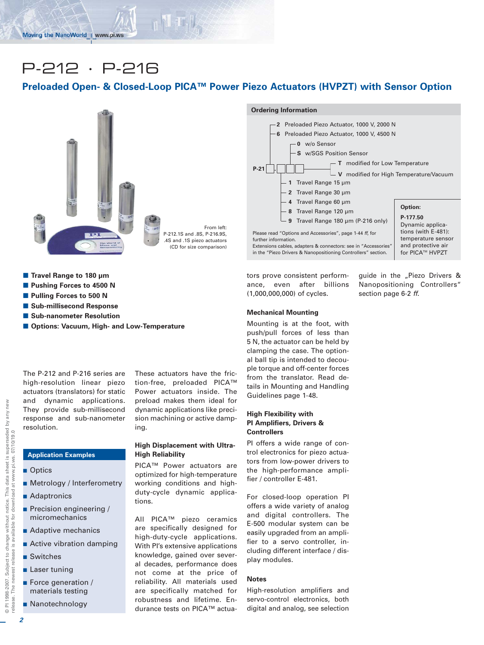# P-212 · P-216

## **Preloaded Open- & Closed-Loop PICA™ Power Piezo Actuators (HVPZT) with Sensor Option**



From left: P-212.1S and .8S, P-216.9S, .4S and .1S piezo actuators (CD for size comparison) **Ordering Information**  $P-21$  . **1** Travel Range 15 µm **2** Travel Range 30 µm **4** Travel Range 60 µm **8** Travel Range 120 µm **9** Travel Range 180 µm (P-216 only) **2** Preloaded Piezo Actuator, 1000 V, 2000 N **6** Preloaded Piezo Actuator, 1000 V, 4500 N **T** modified for Low Temperature **V** modified for High Temperature/Vacuum **0** w/o Sensor **S** w/SGS Position Sensor Please read "Options and Accessories", page 1-44 *ff*, for further information. Extensions cables, adapters & connectors: see in "Accessories" in the "Piezo Drivers & Nanopositioning Controllers" section. **Option: P-177.50** Dynamic applications (with E-481): temperature sensor and protective air for PICA™ HVPZT

tors prove consistent performance, even after billions (1,000,000,000) of cycles.

Mounting is at the foot, with

guide in the "Piezo Drivers & Nanopositioning Controllers" section page 6-2 *ff*.

- Travel Range to 180 µm
- $\blacksquare$  **Pushing Forces to 4500 N**
- $\blacksquare$  **Pulling Forces to 500 N**
- Sub-millisecond Response
- **E** Sub-nanometer Resolution
- Options: Vacuum, High- and Low-Temperature

The P-212 and P-216 series are high-resolution linear piezo actuators (translators) for static and dynamic applications. They provide sub-millisecond response and sub-nanometer resolution.

- Optics
- Metrology / Interferometry
- Adaptronics
- **Precision engineering /** micromechanics
- **Adaptive mechanics**
- **Active vibration damping**
- Switches
- **Laser tuning**
- **Exercise Exercise Force generation** / materials testing
- Nanotechnology

These actuators have the friction-free, preloaded PICA™ Power actuators inside. The preload makes them ideal for dynamic applications like precision machining or active damping.

### **High Displacement with Ultra-High Reliability**

PICA™ Power actuators are optimized for high-temperature working conditions and highduty-cycle dynamic applications.

All PICA™ piezo ceramics are specifically designed for high-duty-cycle applications. With PI's extensive applications knowledge, gained over several decades, performance does not come at the price of reliability. All materials used are specifically matched for robustness and lifetime. Endurance tests on PICA™ actua-

**Mechanical Mounting**

push/pull forces of less than 5 N, the actuator can be held by clamping the case. The optional ball tip is intended to decouple torque and off-center forces from the translator. Read details in Mounting and Handling Guidelines page 1-48.

#### **High Flexibility with PI Amplifiers, Drivers & Controllers**

PI offers a wide range of control electronics for piezo actuators from low-power drivers to the high-performance amplifier / controller E-481.

For closed-loop operation PI offers a wide variety of analog and digital controllers. The E-500 modular system can be easily upgraded from an amplifier to a servo controller, including different interface / display modules.

#### **Notes**

High-resolution amplifiers and servo-control electronics, both digital and analog, see selection

© PI 1998-2007. Subject to change without notice. This data sheet is superseded by any new

© PI 1998-2007. Subject to change without notice. This data sheet is superseded by any new<br>release. The newest release is available for download at www.pi.ws. 07/10/19.0

release. The newest release is available for download at www.pi.ws. 07/10/19.0